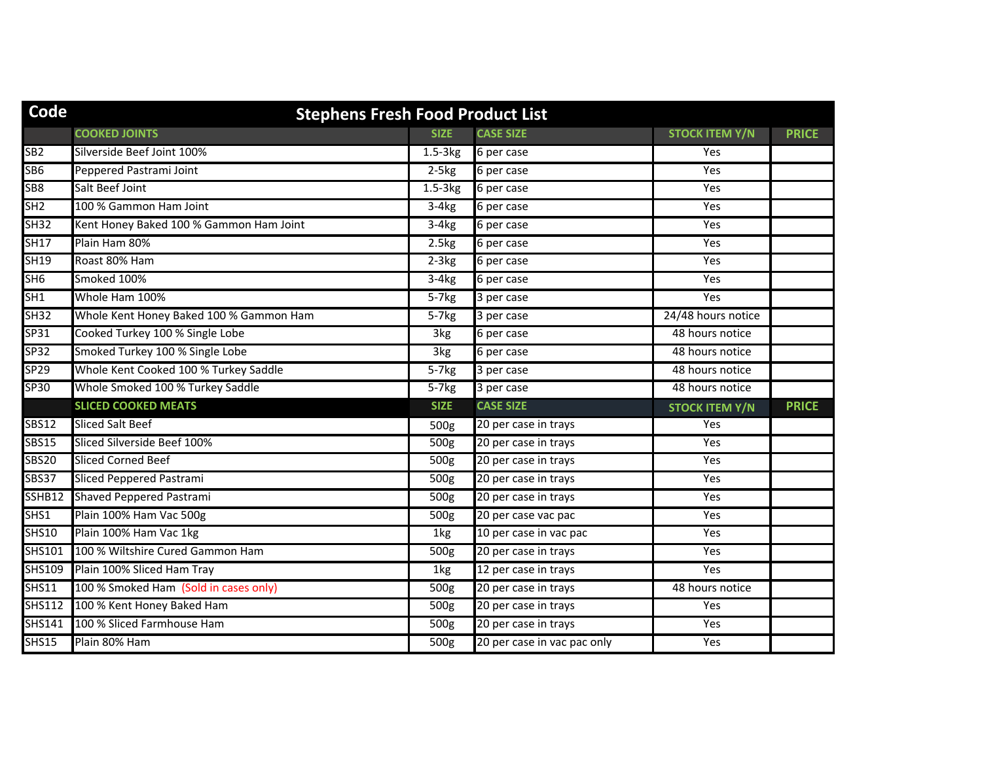| Code             | <b>Stephens Fresh Food Product List</b> |                  |                             |                       |              |  |
|------------------|-----------------------------------------|------------------|-----------------------------|-----------------------|--------------|--|
|                  | <b>COOKED JOINTS</b>                    | <b>SIZE</b>      | <b>CASE SIZE</b>            | <b>STOCK ITEM Y/N</b> | <b>PRICE</b> |  |
| SB <sub>2</sub>  | Silverside Beef Joint 100%              | $1.5-3kg$        | 6 per case                  | Yes                   |              |  |
| SB <sub>6</sub>  | Peppered Pastrami Joint                 | $2-5kg$          | 6 per case                  | Yes                   |              |  |
| SB8              | Salt Beef Joint                         | $1.5-3kg$        | 6 per case                  | Yes                   |              |  |
| SH2              | 100 % Gammon Ham Joint                  | $3-4kg$          | 6 per case                  | Yes                   |              |  |
| SH32             | Kent Honey Baked 100 % Gammon Ham Joint | $3-4kg$          | 6 per case                  | Yes                   |              |  |
| SH17             | Plain Ham 80%                           | 2.5kg            | 6 per case                  | Yes                   |              |  |
| <b>SH19</b>      | Roast 80% Ham                           | $2-3kg$          | 6 per case                  | Yes                   |              |  |
| SH6              | Smoked 100%                             | $3-4kg$          | 6 per case                  | Yes                   |              |  |
| SH1              | Whole Ham 100%                          | $5-7kg$          | 3 per case                  | Yes                   |              |  |
| SH32             | Whole Kent Honey Baked 100 % Gammon Ham | $5-7kg$          | 3 per case                  | 24/48 hours notice    |              |  |
| SP31             | Cooked Turkey 100 % Single Lobe         | 3kg              | 6 per case                  | 48 hours notice       |              |  |
| <b>SP32</b>      | Smoked Turkey 100 % Single Lobe         | 3kg              | 6 per case                  | 48 hours notice       |              |  |
| SP <sub>29</sub> | Whole Kent Cooked 100 % Turkey Saddle   | $5-7kg$          | 3 per case                  | 48 hours notice       |              |  |
| <b>SP30</b>      | Whole Smoked 100 % Turkey Saddle        | $5-7kg$          | 3 per case                  | 48 hours notice       |              |  |
|                  | <b>SLICED COOKED MEATS</b>              | <b>SIZE</b>      | <b>CASE SIZE</b>            | <b>STOCK ITEM Y/N</b> | <b>PRICE</b> |  |
| <b>SBS12</b>     | <b>Sliced Salt Beef</b>                 | 500g             | 20 per case in trays        | Yes                   |              |  |
| <b>SBS15</b>     | Sliced Silverside Beef 100%             | 500g             | 20 per case in trays        | Yes                   |              |  |
| <b>SBS20</b>     | <b>Sliced Corned Beef</b>               | 500g             | 20 per case in trays        | Yes                   |              |  |
| <b>SBS37</b>     | Sliced Peppered Pastrami                | 500g             | 20 per case in trays        | Yes                   |              |  |
| SSHB12           | Shaved Peppered Pastrami                | 500g             | 20 per case in trays        | Yes                   |              |  |
| SHS1             | Plain 100% Ham Vac 500g                 | 500g             | 20 per case vac pac         | Yes                   |              |  |
| <b>SHS10</b>     | Plain 100% Ham Vac 1kg                  | 1kg              | 10 per case in vac pac      | Yes                   |              |  |
| <b>SHS101</b>    | 100 % Wiltshire Cured Gammon Ham        | 500 <sub>g</sub> | 20 per case in trays        | Yes                   |              |  |
| <b>SHS109</b>    | Plain 100% Sliced Ham Tray              | 1kg              | 12 per case in trays        | Yes                   |              |  |
| <b>SHS11</b>     | 100 % Smoked Ham (Sold in cases only)   | 500g             | 20 per case in trays        | 48 hours notice       |              |  |
| <b>SHS112</b>    | 100 % Kent Honey Baked Ham              | 500g             | 20 per case in trays        | Yes                   |              |  |
| <b>SHS141</b>    | 100 % Sliced Farmhouse Ham              | 500g             | 20 per case in trays        | Yes                   |              |  |
| <b>SHS15</b>     | Plain 80% Ham                           | 500g             | 20 per case in vac pac only | Yes                   |              |  |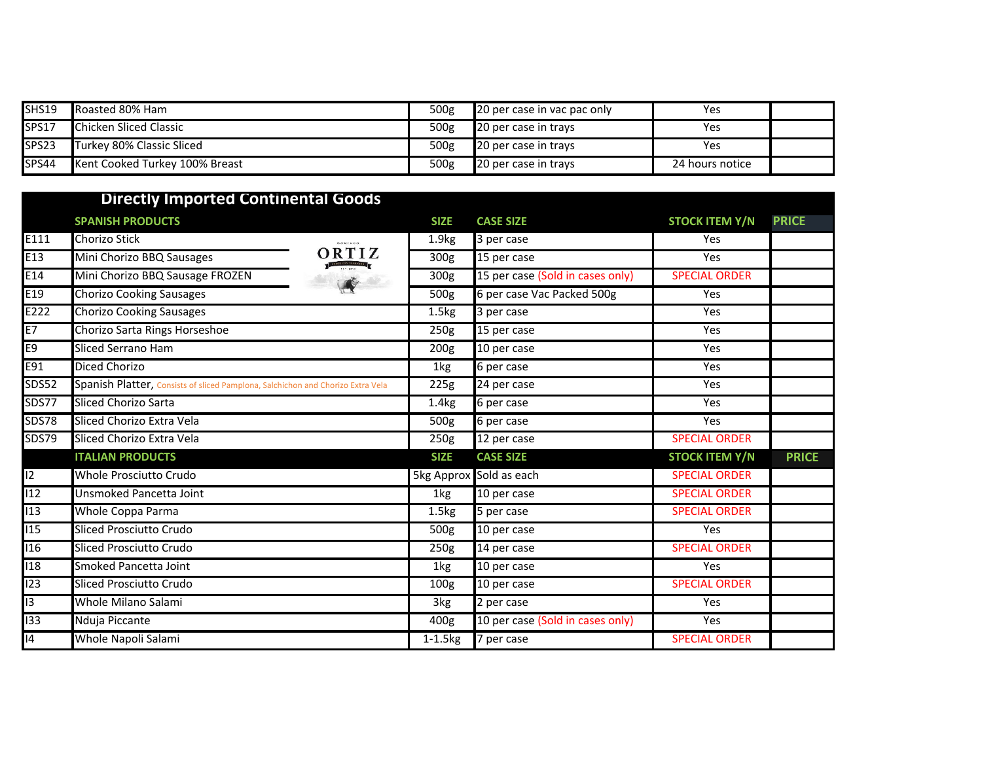| SHS19             | Roasted 80% Ham                | 500g | 20 per case in vac pac only | Yes             |  |
|-------------------|--------------------------------|------|-----------------------------|-----------------|--|
| SPS17             | <b>Chicken Sliced Classic</b>  | 500g | 20 per case in trays        | Yes             |  |
| SPS <sub>23</sub> | Turkey 80% Classic Sliced      | 500g | 20 per case in trays        | Yes             |  |
| SPS44             | Kent Cooked Turkey 100% Breast | 500g | 20 per case in trays        | 24 hours notice |  |

|                  | <b>Directly Imported Continental Goods</b>                                      |                       |                                  |                       |              |
|------------------|---------------------------------------------------------------------------------|-----------------------|----------------------------------|-----------------------|--------------|
|                  | <b>SPANISH PRODUCTS</b>                                                         | <b>SIZE</b>           | <b>CASE SIZE</b>                 | <b>STOCK ITEM Y/N</b> | <b>PRICE</b> |
| E111             | Chorizo Stick<br><b>DOMINGO</b>                                                 | 1.9 <sub>kg</sub>     | 3 per case                       | Yes                   |              |
| E13              | ORTIZ<br>Mini Chorizo BBQ Sausages                                              | 300g                  | 15 per case                      | Yes                   |              |
| E14              | Mini Chorizo BBQ Sausage FROZEN                                                 | 300g                  | 15 per case (Sold in cases only) | <b>SPECIAL ORDER</b>  |              |
| E19              | $\mathbf{A}$<br><b>Chorizo Cooking Sausages</b>                                 | 500g                  | 6 per case Vac Packed 500g       | Yes                   |              |
| E222             | <b>Chorizo Cooking Sausages</b>                                                 | 1.5 <sub>kg</sub>     | 3 per case                       | Yes                   |              |
| E7               | Chorizo Sarta Rings Horseshoe                                                   | $\overline{2}$ 50g    | 15 per case                      | Yes                   |              |
| E9               | <b>Sliced Serrano Ham</b>                                                       | 200g                  | 10 per case                      | Yes                   |              |
| E91              | Diced Chorizo                                                                   | 1kg                   | 6 per case                       | Yes                   |              |
| <b>SDS52</b>     | Spanish Platter, Consists of sliced Pamplona, Salchichon and Chorizo Extra Vela | 225g                  | 24 per case                      | Yes                   |              |
| <b>SDS77</b>     | Sliced Chorizo Sarta                                                            | 1.4 <sub>kg</sub>     | 6 per case                       | Yes                   |              |
| <b>SDS78</b>     | Sliced Chorizo Extra Vela                                                       | 500g                  | 6 per case                       | Yes                   |              |
| <b>SDS79</b>     | Sliced Chorizo Extra Vela                                                       | 250g                  | 12 per case                      | <b>SPECIAL ORDER</b>  |              |
|                  | <b>ITALIAN PRODUCTS</b>                                                         | <b>SIZE</b>           | <b>CASE SIZE</b>                 | <b>STOCK ITEM Y/N</b> | <b>PRICE</b> |
| $\overline{12}$  | Whole Prosciutto Crudo                                                          |                       | 5kg Approx Sold as each          | <b>SPECIAL ORDER</b>  |              |
| $\overline{12}$  | Unsmoked Pancetta Joint                                                         | 1kg                   | $\overline{10}$ per case         | <b>SPECIAL ORDER</b>  |              |
| $\overline{113}$ | <b>Whole Coppa Parma</b>                                                        | 1.5 <sub>kg</sub>     | 5 per case                       | <b>SPECIAL ORDER</b>  |              |
| $\overline{115}$ | <b>Sliced Prosciutto Crudo</b>                                                  | 500 <sub>g</sub>      | 10 per case                      | Yes                   |              |
| $\overline{116}$ | Sliced Prosciutto Crudo                                                         | $\overline{2}50g$     | 14 per case                      | <b>SPECIAL ORDER</b>  |              |
| $\overline{118}$ | Smoked Pancetta Joint                                                           | 1kg                   | 10 per case                      | Yes                   |              |
| $\overline{123}$ | Sliced Prosciutto Crudo                                                         | 100 <sub>g</sub>      | 10 per case                      | <b>SPECIAL ORDER</b>  |              |
| $\overline{13}$  | Whole Milano Salami                                                             | 3kg                   | 2 per case                       | Yes                   |              |
| $\overline{133}$ | Nduja Piccante                                                                  | 400g                  | 10 per case (Sold in cases only) | Yes                   |              |
| 14               | Whole Napoli Salami                                                             | $1-1.5$ <sub>kg</sub> | 7 per case                       | <b>SPECIAL ORDER</b>  |              |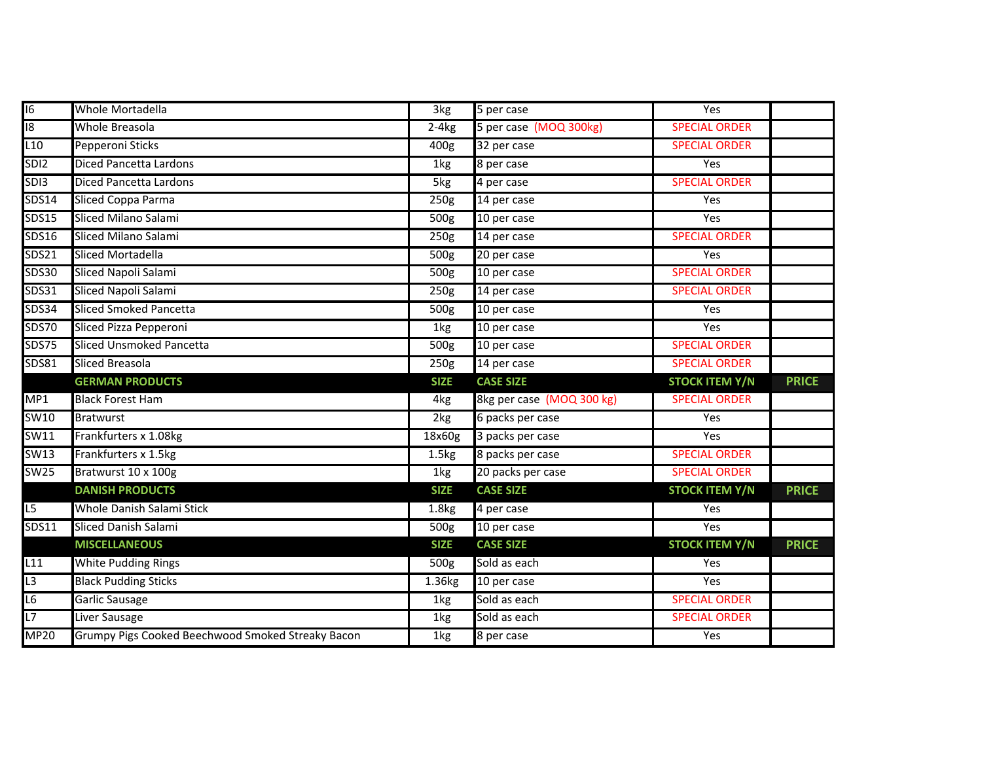| 16              | Whole Mortadella                | 3kg               | 5 per case                | Yes                   |              |
|-----------------|---------------------------------|-------------------|---------------------------|-----------------------|--------------|
| 18              | Whole Breasola                  | $2-4kg$           | 5 per case (MOQ 300kg)    | <b>SPECIAL ORDER</b>  |              |
| L10             | Pepperoni Sticks                | 400g              | 32 per case               | <b>SPECIAL ORDER</b>  |              |
| SDI2            | <b>Diced Pancetta Lardons</b>   | 1kg               | 8 per case                | Yes                   |              |
| SDI3            | Diced Pancetta Lardons          | 5kg               | 4 per case                | <b>SPECIAL ORDER</b>  |              |
| <b>SDS14</b>    | Sliced Coppa Parma              | 250g              | 14 per case               | Yes                   |              |
| <b>SDS15</b>    | Sliced Milano Salami            | 500g              | 10 per case               | Yes                   |              |
| <b>SDS16</b>    | Sliced Milano Salami            | 250g              | 14 per case               | <b>SPECIAL ORDER</b>  |              |
| <b>SDS21</b>    | Sliced Mortadella               | $\overline{500g}$ | 20 per case               | Yes                   |              |
| <b>SDS30</b>    | Sliced Napoli Salami            | 500g              | 10 per case               | <b>SPECIAL ORDER</b>  |              |
| SDS31           | Sliced Napoli Salami            | 250g              | 14 per case               | <b>SPECIAL ORDER</b>  |              |
| <b>SDS34</b>    | <b>Sliced Smoked Pancetta</b>   | 500 <sub>g</sub>  | 10 per case               | Yes                   |              |
| <b>SDS70</b>    | Sliced Pizza Pepperoni          | 1kg               | 10 per case               | Yes                   |              |
| <b>SDS75</b>    | <b>Sliced Unsmoked Pancetta</b> | 500g              | 10 per case               | <b>SPECIAL ORDER</b>  |              |
| <b>SDS81</b>    | <b>Sliced Breasola</b>          | 250g              | 14 per case               | <b>SPECIAL ORDER</b>  |              |
|                 |                                 |                   |                           |                       |              |
|                 | <b>GERMAN PRODUCTS</b>          | <b>SIZE</b>       | <b>CASE SIZE</b>          | <b>STOCK ITEM Y/N</b> | <b>PRICE</b> |
| MP1             | <b>Black Forest Ham</b>         | 4kg               | 8kg per case (MOQ 300 kg) | <b>SPECIAL ORDER</b>  |              |
| <b>SW10</b>     | <b>Bratwurst</b>                | 2kg               | 6 packs per case          | Yes                   |              |
| SW11            | Frankfurters x 1.08kg           | 18x60g            | 3 packs per case          | Yes                   |              |
| <b>SW13</b>     | Frankfurters x 1.5kg            | 1.5 <sub>kg</sub> | 8 packs per case          | <b>SPECIAL ORDER</b>  |              |
| <b>SW25</b>     | Bratwurst 10 x 100g             | 1kg               | 20 packs per case         | <b>SPECIAL ORDER</b>  |              |
|                 | <b>DANISH PRODUCTS</b>          | <b>SIZE</b>       | <b>CASE SIZE</b>          | <b>STOCK ITEM Y/N</b> | <b>PRICE</b> |
| $\overline{L5}$ | Whole Danish Salami Stick       | 1.8 <sub>kg</sub> | 4 per case                | Yes                   |              |
| <b>SDS11</b>    | Sliced Danish Salami            | 500g              | 10 per case               | Yes                   |              |
|                 | <b>MISCELLANEOUS</b>            | <b>SIZE</b>       | <b>CASE SIZE</b>          | <b>STOCK ITEM Y/N</b> | <b>PRICE</b> |
| L11             | White Pudding Rings             | 500g              | Sold as each              | Yes                   |              |
| L3              | <b>Black Pudding Sticks</b>     | 1.36kg            | 10 per case               | Yes                   |              |
| L6              | Garlic Sausage                  | 1kg               | Sold as each              | <b>SPECIAL ORDER</b>  |              |
| L7              | Liver Sausage                   | 1kg               | Sold as each              | <b>SPECIAL ORDER</b>  |              |